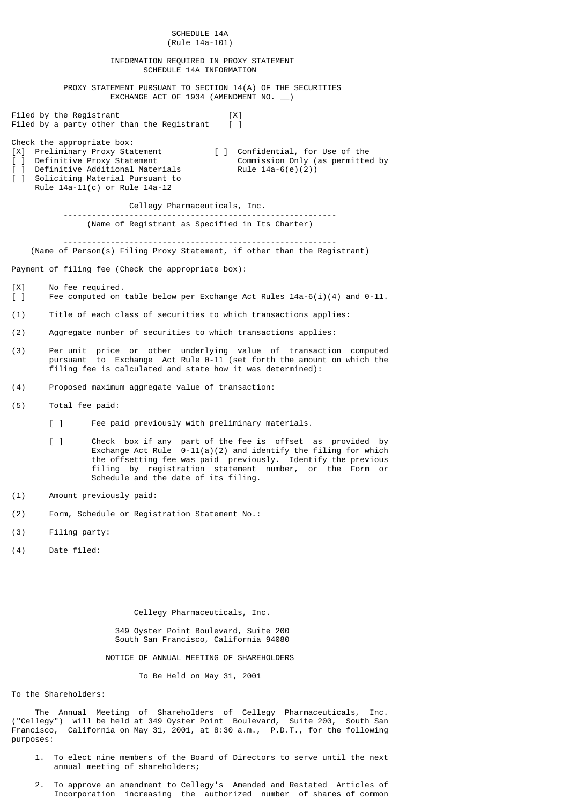| SCHEDULE 14A<br>(Rule 14a-101)                                                |                                                                                                                                                                                                         |                                                                                                                                                                                                                     |  |  |  |  |
|-------------------------------------------------------------------------------|---------------------------------------------------------------------------------------------------------------------------------------------------------------------------------------------------------|---------------------------------------------------------------------------------------------------------------------------------------------------------------------------------------------------------------------|--|--|--|--|
| INFORMATION REQUIRED IN PROXY STATEMENT<br>SCHEDULE 14A INFORMATION           |                                                                                                                                                                                                         |                                                                                                                                                                                                                     |  |  |  |  |
|                                                                               | PROXY STATEMENT PURSUANT TO SECTION 14(A) OF THE SECURITIES<br>EXCHANGE ACT OF 1934 (AMENDMENT NO. _)                                                                                                   |                                                                                                                                                                                                                     |  |  |  |  |
|                                                                               | Filed by the Registrant<br>Filed by a party other than the Registrant                                                                                                                                   | [X]<br>$\Box$                                                                                                                                                                                                       |  |  |  |  |
| [X]<br>$\begin{bmatrix} 1 \end{bmatrix}$<br>$\begin{bmatrix} 1 \end{bmatrix}$ | Check the appropriate box:<br>Preliminary Proxy Statement<br>Definitive Proxy Statement<br>[ ] Definitive Additional Materials<br>Soliciting Material Pursuant to<br>Rule 14a-11(c) or Rule 14a-12      | [ ] Confidential, for Use of the<br>Commission Only (as permitted by<br>Rule $14a-6(e)(2)$                                                                                                                          |  |  |  |  |
|                                                                               | Cellegy Pharmaceuticals, Inc.                                                                                                                                                                           |                                                                                                                                                                                                                     |  |  |  |  |
|                                                                               | (Name of Registrant as Specified in Its Charter)                                                                                                                                                        |                                                                                                                                                                                                                     |  |  |  |  |
|                                                                               | (Name of Person(s) Filing Proxy Statement, if other than the Registrant)                                                                                                                                |                                                                                                                                                                                                                     |  |  |  |  |
|                                                                               | Payment of filing fee (Check the appropriate box):                                                                                                                                                      |                                                                                                                                                                                                                     |  |  |  |  |
| [X]<br>$\Box$                                                                 | No fee required.<br>Fee computed on table below per Exchange Act Rules $14a-6(i)(4)$ and 0-11.                                                                                                          |                                                                                                                                                                                                                     |  |  |  |  |
| (1)                                                                           | Title of each class of securities to which transactions applies:                                                                                                                                        |                                                                                                                                                                                                                     |  |  |  |  |
| (2)                                                                           | Aggregate number of securities to which transactions applies:                                                                                                                                           |                                                                                                                                                                                                                     |  |  |  |  |
| (3)                                                                           | Per unit price or other underlying value of transaction computed<br>pursuant to Exchange Act Rule 0-11 (set forth the amount on which the<br>filing fee is calculated and state how it was determined): |                                                                                                                                                                                                                     |  |  |  |  |
| (4)                                                                           | Proposed maximum aggregate value of transaction:                                                                                                                                                        |                                                                                                                                                                                                                     |  |  |  |  |
| (5)                                                                           | Total fee paid:                                                                                                                                                                                         |                                                                                                                                                                                                                     |  |  |  |  |
|                                                                               | $\sqrt{1}$<br>Fee paid previously with preliminary materials.                                                                                                                                           |                                                                                                                                                                                                                     |  |  |  |  |
|                                                                               | $\lceil$ 1<br>filing by registration statement number,<br>Schedule and the date of its filing.                                                                                                          | Check box if any part of the fee is offset as provided by<br>Exchange Act Rule $0-11(a)(2)$ and identify the filing for which<br>the offsetting fee was paid previously. Identify the previous<br>or the Form<br>or |  |  |  |  |
| (1)                                                                           | Amount previously paid:                                                                                                                                                                                 |                                                                                                                                                                                                                     |  |  |  |  |
| (2)                                                                           | Form, Schedule or Registration Statement No.:                                                                                                                                                           |                                                                                                                                                                                                                     |  |  |  |  |
| (3)                                                                           | Filing party:                                                                                                                                                                                           |                                                                                                                                                                                                                     |  |  |  |  |
| (4)                                                                           | Date filed:                                                                                                                                                                                             |                                                                                                                                                                                                                     |  |  |  |  |
|                                                                               |                                                                                                                                                                                                         |                                                                                                                                                                                                                     |  |  |  |  |
|                                                                               | Cellegy Pharmaceuticals, Inc.                                                                                                                                                                           |                                                                                                                                                                                                                     |  |  |  |  |
|                                                                               | 349 Oyster Point Boulevard, Suite 200<br>South San Francisco, California 94080                                                                                                                          |                                                                                                                                                                                                                     |  |  |  |  |
|                                                                               | NOTICE OF ANNUAL MEETING OF SHAREHOLDERS                                                                                                                                                                |                                                                                                                                                                                                                     |  |  |  |  |
| To Be Held on May 31, 2001                                                    |                                                                                                                                                                                                         |                                                                                                                                                                                                                     |  |  |  |  |
|                                                                               | To the Shareholders:                                                                                                                                                                                    |                                                                                                                                                                                                                     |  |  |  |  |

 The Annual Meeting of Shareholders of Cellegy Pharmaceuticals, Inc. ("Cellegy") will be held at 349 Oyster Point Boulevard, Suite 200, South San Francisco, California on May 31, 2001, at 8:30 a.m., P.D.T., for the following purposes:

- 1. To elect nine members of the Board of Directors to serve until the next annual meeting of shareholders;
- 2. To approve an amendment to Cellegy's Amended and Restated Articles of Incorporation increasing the authorized number of shares of common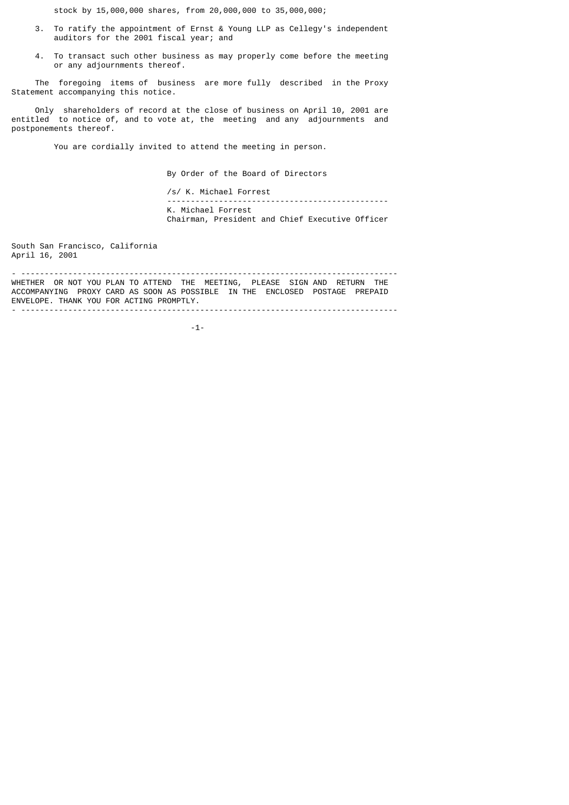stock by 15,000,000 shares, from 20,000,000 to 35,000,000;

- 3. To ratify the appointment of Ernst & Young LLP as Cellegy's independent auditors for the 2001 fiscal year; and
- 4. To transact such other business as may properly come before the meeting or any adjournments thereof.

 The foregoing items of business are more fully described in the Proxy Statement accompanying this notice.

 Only shareholders of record at the close of business on April 10, 2001 are entitled to notice of, and to vote at, the meeting and any adjournments and postponements thereof.

You are cordially invited to attend the meeting in person.

By Order of the Board of Directors

 /s/ K. Michael Forrest ----------------------------------------------- K. Michael Forrest Chairman, President and Chief Executive Officer

South San Francisco, California April 16, 2001

- -------------------------------------------------------------------------------- WHETHER OR NOT YOU PLAN TO ATTEND THE MEETING, PLEASE SIGN AND RETURN THE ACCOMPANYING PROXY CARD AS SOON AS POSSIBLE IN THE ENCLOSED POSTAGE PREPAID ENVELOPE. THANK YOU FOR ACTING PROMPTLY. - --------------------------------------------------------------------------------

 $-1$ - $-1$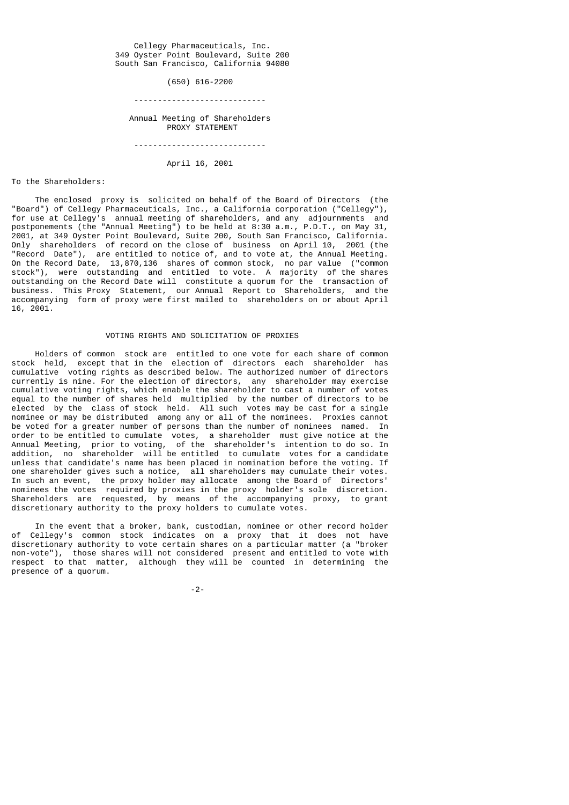Cellegy Pharmaceuticals, Inc. 349 Oyster Point Boulevard, Suite 200 South San Francisco, California 94080

(650) 616-2200

----------------------------

 Annual Meeting of Shareholders PROXY STATEMENT

----------------------------

April 16, 2001

#### To the Shareholders:

 The enclosed proxy is solicited on behalf of the Board of Directors (the "Board") of Cellegy Pharmaceuticals, Inc., a California corporation ("Cellegy"), for use at Cellegy's annual meeting of shareholders, and any adjournments and postponements (the "Annual Meeting") to be held at 8:30 a.m., P.D.T., on May 31, 2001, at 349 Oyster Point Boulevard, Suite 200, South San Francisco, California. Only shareholders of record on the close of business on April 10, 2001 (the "Record Date"), are entitled to notice of, and to vote at, the Annual Meeting. On the Record Date, 13,870,136 shares of common stock, no par value ("common stock"), were outstanding and entitled to vote. A majority of the shares outstanding on the Record Date will constitute a quorum for the transaction of business. This Proxy Statement, our Annual Report to Shareholders, and the accompanying form of proxy were first mailed to shareholders on or about April 16, 2001.

## VOTING RIGHTS AND SOLICITATION OF PROXIES

 Holders of common stock are entitled to one vote for each share of common stock held, except that in the election of directors each shareholder has cumulative voting rights as described below. The authorized number of directors currently is nine. For the election of directors, any shareholder may exercise cumulative voting rights, which enable the shareholder to cast a number of votes equal to the number of shares held multiplied by the number of directors to be elected by the class of stock held. All such votes may be cast for a single nominee or may be distributed among any or all of the nominees. Proxies cannot be voted for a greater number of persons than the number of nominees named. In order to be entitled to cumulate votes, a shareholder must give notice at the Annual Meeting, prior to voting, of the shareholder's intention to do so. In addition, no shareholder will be entitled to cumulate votes for a candidate unless that candidate's name has been placed in nomination before the voting. If one shareholder gives such a notice, all shareholders may cumulate their votes. In such an event, the proxy holder may allocate among the Board of Directors' nominees the votes required by proxies in the proxy holder's sole discretion. Shareholders are requested, by means of the accompanying proxy, to grant discretionary authority to the proxy holders to cumulate votes.

 In the event that a broker, bank, custodian, nominee or other record holder of Cellegy's common stock indicates on a proxy that it does not have discretionary authority to vote certain shares on a particular matter (a "broker non-vote"), those shares will not considered present and entitled to vote with respect to that matter, although they will be counted in determining the presence of a quorum.

-2-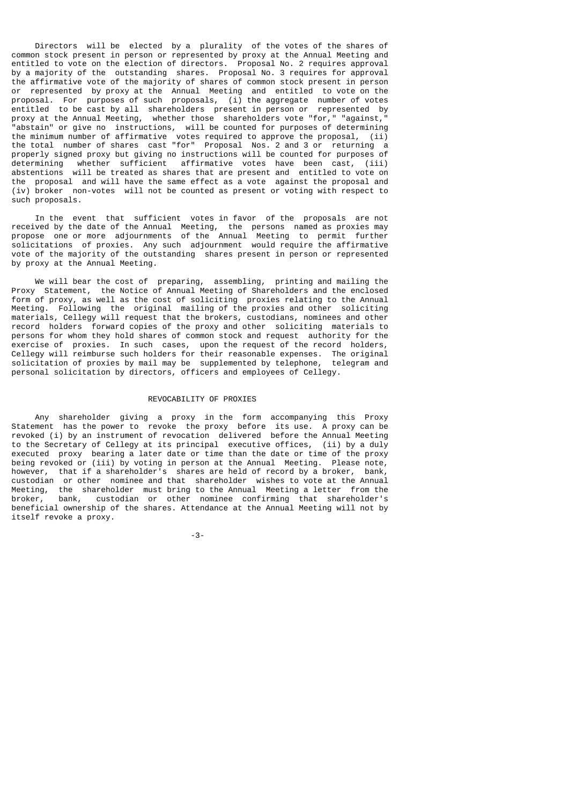Directors will be elected by a plurality of the votes of the shares of common stock present in person or represented by proxy at the Annual Meeting and entitled to vote on the election of directors. Proposal No. 2 requires approval by a majority of the outstanding shares. Proposal No. 3 requires for approval the affirmative vote of the majority of shares of common stock present in person or represented by proxy at the Annual Meeting and entitled to vote on the proposal. For purposes of such proposals, (i) the aggregate number of votes entitled to be cast by all shareholders present in person or represented by proxy at the Annual Meeting, whether those shareholders vote "for," "against," "abstain" or give no instructions, will be counted for purposes of determining the minimum number of affirmative votes required to approve the proposal, (ii) the total number of shares cast "for" Proposal Nos. 2 and 3 or returning a properly signed proxy but giving no instructions will be counted for purposes of determining whether sufficient affirmative votes have been cast, (iii) abstentions will be treated as shares that are present and entitled to vote on the proposal and will have the same effect as a vote against the proposal and (iv) broker non-votes will not be counted as present or voting with respect to such proposals.

 In the event that sufficient votes in favor of the proposals are not received by the date of the Annual Meeting, the persons named as proxies may propose one or more adjournments of the Annual Meeting to permit further solicitations of proxies. Any such adjournment would require the affirmative vote of the majority of the outstanding shares present in person or represented by proxy at the Annual Meeting.

 We will bear the cost of preparing, assembling, printing and mailing the Proxy Statement, the Notice of Annual Meeting of Shareholders and the enclosed form of proxy, as well as the cost of soliciting proxies relating to the Annual Meeting. Following the original mailing of the proxies and other soliciting materials, Cellegy will request that the brokers, custodians, nominees and other record holders forward copies of the proxy and other soliciting materials to persons for whom they hold shares of common stock and request authority for the exercise of proxies. In such cases, upon the request of the record holders, Cellegy will reimburse such holders for their reasonable expenses. The original solicitation of proxies by mail may be supplemented by telephone, telegram and personal solicitation by directors, officers and employees of Cellegy.

#### REVOCABILITY OF PROXIES

 Any shareholder giving a proxy in the form accompanying this Proxy Statement has the power to revoke the proxy before its use. A proxy can be revoked (i) by an instrument of revocation delivered before the Annual Meeting to the Secretary of Cellegy at its principal executive offices, (ii) by a duly executed proxy bearing a later date or time than the date or time of the proxy being revoked or (iii) by voting in person at the Annual Meeting. Please note, however, that if a shareholder's shares are held of record by a broker, bank, custodian or other nominee and that shareholder wishes to vote at the Annual Meeting, the shareholder must bring to the Annual Meeting a letter from the broker, bank, custodian or other nominee confirming that shareholder's beneficial ownership of the shares. Attendance at the Annual Meeting will not by itself revoke a proxy.

-3-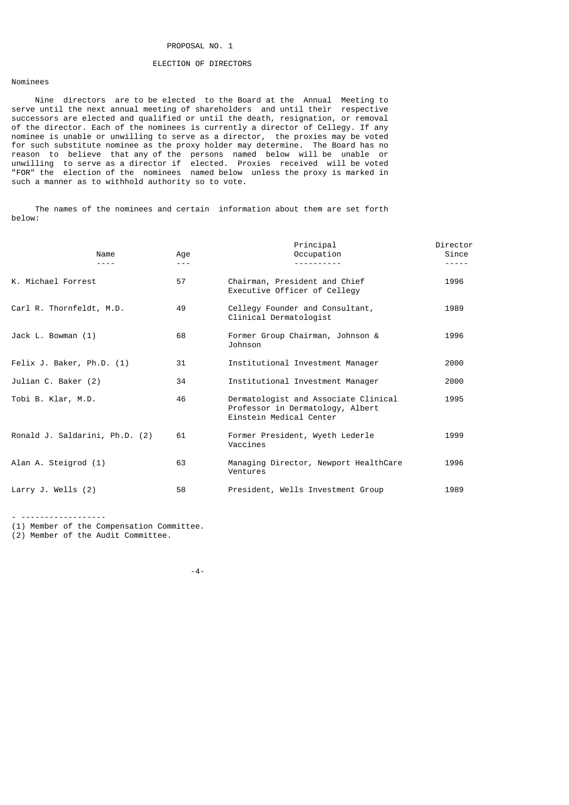### PROPOSAL NO. 1

#### ELECTION OF DIRECTORS

## Nominees

 Nine directors are to be elected to the Board at the Annual Meeting to serve until the next annual meeting of shareholders and until their respective successors are elected and qualified or until the death, resignation, or removal of the director. Each of the nominees is currently a director of Cellegy. If any nominee is unable or unwilling to serve as a director, the proxies may be voted for such substitute nominee as the proxy holder may determine. The Board has no reason to believe that any of the persons named below will be unable or unwilling to serve as a director if elected. Proxies received will be voted "FOR" the election of the nominees named below unless the proxy is marked in such a manner as to withhold authority so to vote.

 The names of the nominees and certain information about them are set forth below:

| Name                           | Age | Principal<br>Occupation                                                                             | Director<br>Since |
|--------------------------------|-----|-----------------------------------------------------------------------------------------------------|-------------------|
| K. Michael Forrest             | 57  | Chairman, President and Chief<br>Executive Officer of Cellegy                                       | 1996              |
| Carl R. Thornfeldt, M.D.       | 49  | Cellegy Founder and Consultant,<br>Clinical Dermatologist                                           | 1989              |
| Jack L. Bowman (1)             | 68  | Former Group Chairman, Johnson &<br>Johnson                                                         | 1996              |
| Felix J. Baker, Ph.D. (1)      | 31  | Institutional Investment Manager                                                                    | 2000              |
| Julian C. Baker (2)            | 34  | Institutional Investment Manager                                                                    | 2000              |
| Tobi B. Klar, M.D.             | 46  | Dermatologist and Associate Clinical<br>Professor in Dermatology, Albert<br>Einstein Medical Center | 1995              |
| Ronald J. Saldarini, Ph.D. (2) | 61  | Former President, Wyeth Lederle<br>Vaccines                                                         | 1999              |
| Alan A. Steigrod (1)           | 63  | Managing Director, Newport HealthCare<br>Ventures                                                   | 1996              |
| Larry J. Wells $(2)$           | 58  | President, Wells Investment Group                                                                   | 1989              |

- ------------------

(1) Member of the Compensation Committee.

(2) Member of the Audit Committee.

-4-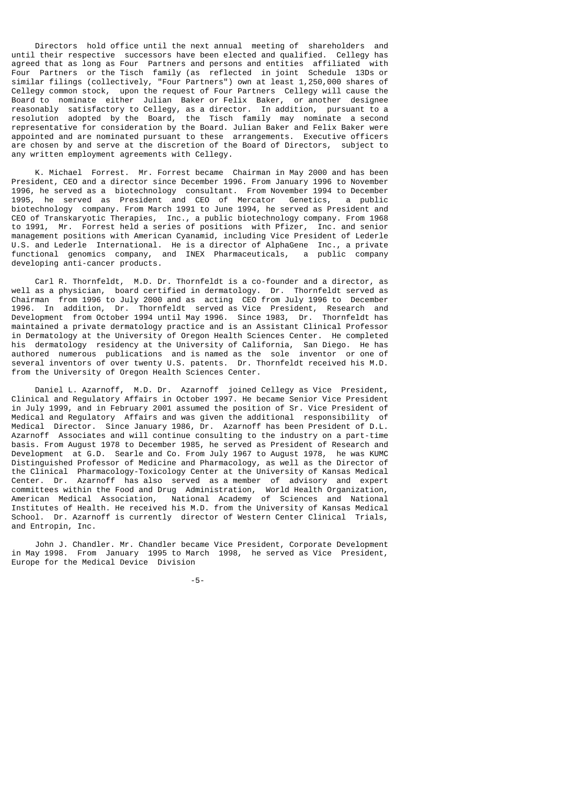Directors hold office until the next annual meeting of shareholders and until their respective successors have been elected and qualified. Cellegy has agreed that as long as Four Partners and persons and entities affiliated with Four Partners or the Tisch family (as reflected in joint Schedule 13Ds or similar filings (collectively, "Four Partners") own at least 1,250,000 shares of Cellegy common stock, upon the request of Four Partners Cellegy will cause the Board to nominate either Julian Baker or Felix Baker, or another designee reasonably satisfactory to Cellegy, as a director. In addition, pursuant to a resolution adopted by the Board, the Tisch family may nominate a second representative for consideration by the Board. Julian Baker and Felix Baker were appointed and are nominated pursuant to these arrangements. Executive officers are chosen by and serve at the discretion of the Board of Directors, subject to any written employment agreements with Cellegy.

 K. Michael Forrest. Mr. Forrest became Chairman in May 2000 and has been President, CEO and a director since December 1996. From January 1996 to November 1996, he served as a biotechnology consultant. From November 1994 to December 1995, he served as President and CEO of Mercator Genetics, a public biotechnology company. From March 1991 to June 1994, he served as President and CEO of Transkaryotic Therapies, Inc., a public biotechnology company. From 1968 to 1991, Mr. Forrest held a series of positions with Pfizer, Inc. and senior management positions with American Cyanamid, including Vice President of Lederle U.S. and Lederle International. He is a director of AlphaGene Inc., a private functional genomics company, and INEX Pharmaceuticals, a public company developing anti-cancer products.

 Carl R. Thornfeldt, M.D. Dr. Thornfeldt is a co-founder and a director, as well as a physician, board certified in dermatology. Dr. Thornfeldt served as Chairman from 1996 to July 2000 and as acting CEO from July 1996 to December 1996. In addition, Dr. Thornfeldt served as Vice President, Research and Development from October 1994 until May 1996. Since 1983, Dr. Thornfeldt has maintained a private dermatology practice and is an Assistant Clinical Professor in Dermatology at the University of Oregon Health Sciences Center. He completed his dermatology residency at the University of California, San Diego. He has authored numerous publications and is named as the sole inventor or one of several inventors of over twenty U.S. patents. Dr. Thornfeldt received his M.D. from the University of Oregon Health Sciences Center.

 Daniel L. Azarnoff, M.D. Dr. Azarnoff joined Cellegy as Vice President, Clinical and Regulatory Affairs in October 1997. He became Senior Vice President in July 1999, and in February 2001 assumed the position of Sr. Vice President of Medical and Regulatory Affairs and was given the additional responsibility of Medical Director. Since January 1986, Dr. Azarnoff has been President of D.L. Azarnoff Associates and will continue consulting to the industry on a part-time basis. From August 1978 to December 1985, he served as President of Research and Development at G.D. Searle and Co. From July 1967 to August 1978, he was KUMC Distinguished Professor of Medicine and Pharmacology, as well as the Director of the Clinical Pharmacology-Toxicology Center at the University of Kansas Medical Center. Dr. Azarnoff has also served as a member of advisory and expert committees within the Food and Drug Administration, World Health Organization, American Medical Association, National Academy of Sciences and National Institutes of Health. He received his M.D. from the University of Kansas Medical School. Dr. Azarnoff is currently director of Western Center Clinical Trials, and Entropin, Inc.

 John J. Chandler. Mr. Chandler became Vice President, Corporate Development in May 1998. From January 1995 to March 1998, he served as Vice President, Europe for the Medical Device Division

-5-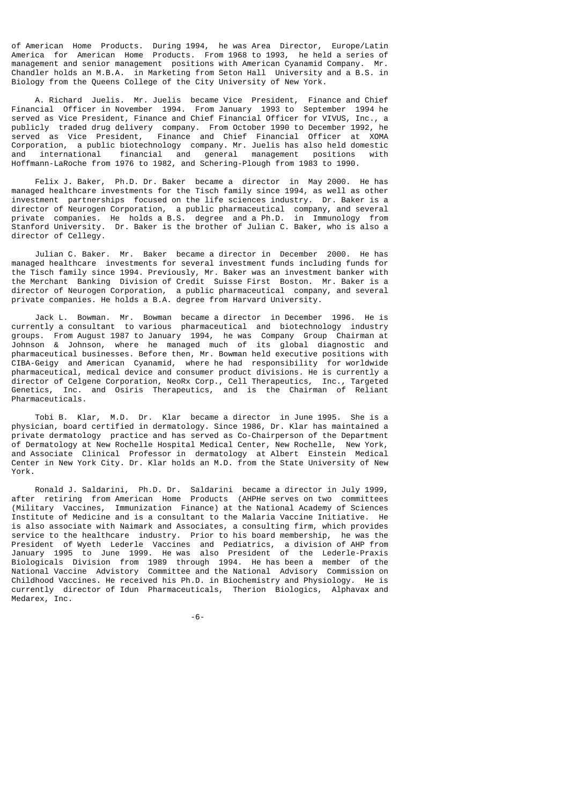of American Home Products. During 1994, he was Area Director, Europe/Latin America for American Home Products. From 1968 to 1993, he held a series of management and senior management positions with American Cyanamid Company. Mr. Chandler holds an M.B.A. in Marketing from Seton Hall University and a B.S. in Biology from the Queens College of the City University of New York.

 A. Richard Juelis. Mr. Juelis became Vice President, Finance and Chief Financial Officer in November 1994. From January 1993 to September 1994 he served as Vice President, Finance and Chief Financial Officer for VIVUS, Inc., a publicly traded drug delivery company. From October 1990 to December 1992, he served as Vice President, Finance and Chief Financial Officer at XOMA Corporation, a public biotechnology company. Mr. Juelis has also held domestic and international financial and general management positions with Hoffmann-LaRoche from 1976 to 1982, and Schering-Plough from 1983 to 1990.

 Felix J. Baker, Ph.D. Dr. Baker became a director in May 2000. He has managed healthcare investments for the Tisch family since 1994, as well as other investment partnerships focused on the life sciences industry. Dr. Baker is a director of Neurogen Corporation, a public pharmaceutical company, and several private companies. He holds a B.S. degree and a Ph.D. in Immunology from Stanford University. Dr. Baker is the brother of Julian C. Baker, who is also a director of Cellegy.

 Julian C. Baker. Mr. Baker became a director in December 2000. He has managed healthcare investments for several investment funds including funds for the Tisch family since 1994. Previously, Mr. Baker was an investment banker with the Merchant Banking Division of Credit Suisse First Boston. Mr. Baker is a director of Neurogen Corporation, a public pharmaceutical company, and several private companies. He holds a B.A. degree from Harvard University.

 Jack L. Bowman. Mr. Bowman became a director in December 1996. He is currently a consultant to various pharmaceutical and biotechnology industry groups. From August 1987 to January 1994, he was Company Group Chairman at Johnson & Johnson, where he managed much of its global diagnostic and pharmaceutical businesses. Before then, Mr. Bowman held executive positions with CIBA-Geigy and American Cyanamid, where he had responsibility for worldwide pharmaceutical, medical device and consumer product divisions. He is currently a director of Celgene Corporation, NeoRx Corp., Cell Therapeutics, Inc., Targeted Genetics, Inc. and Osiris Therapeutics, and is the Chairman of Reliant Pharmaceuticals.

 Tobi B. Klar, M.D. Dr. Klar became a director in June 1995. She is a physician, board certified in dermatology. Since 1986, Dr. Klar has maintained a private dermatology practice and has served as Co-Chairperson of the Department of Dermatology at New Rochelle Hospital Medical Center, New Rochelle, New York, and Associate Clinical Professor in dermatology at Albert Einstein Medical Center in New York City. Dr. Klar holds an M.D. from the State University of New York.

 Ronald J. Saldarini, Ph.D. Dr. Saldarini became a director in July 1999, after retiring from American Home Products (AHPHe serves on two committees (Military Vaccines, Immunization Finance) at the National Academy of Sciences Institute of Medicine and is a consultant to the Malaria Vaccine Initiative. He is also associate with Naimark and Associates, a consulting firm, which provides service to the healthcare industry. Prior to his board membership, he was the President of Wyeth Lederle Vaccines and Pediatrics, a division of AHP from January 1995 to June 1999. He was also President of the Lederle-Praxis Biologicals Division from 1989 through 1994. He has been a member of the National Vaccine Advistory Committee and the National Advisory Commission on Childhood Vaccines. He received his Ph.D. in Biochemistry and Physiology. He is currently director of Idun Pharmaceuticals, Therion Biologics, Alphavax and Medarex, Inc.

-6-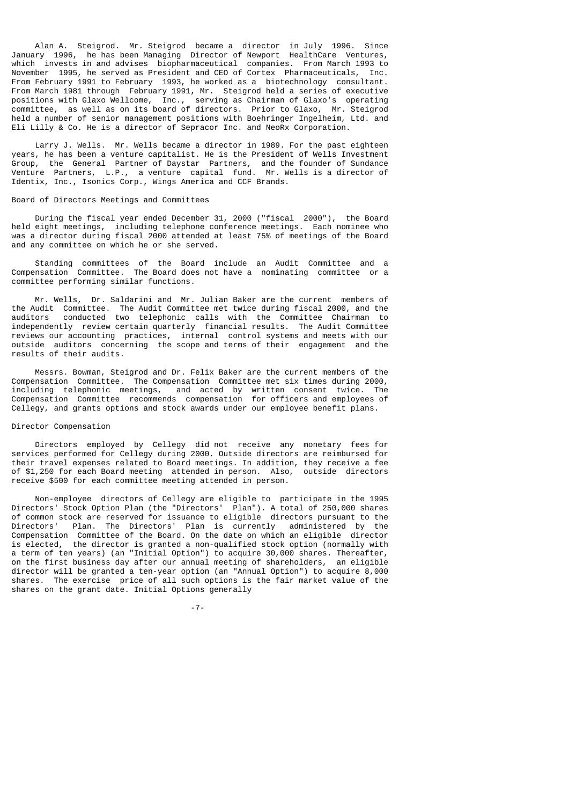Alan A. Steigrod. Mr. Steigrod became a director in July 1996. Since January 1996, he has been Managing Director of Newport HealthCare Ventures, which invests in and advises biopharmaceutical companies. From March 1993 to November 1995, he served as President and CEO of Cortex Pharmaceuticals, Inc. From February 1991 to February 1993, he worked as a biotechnology consultant. From March 1981 through February 1991, Mr. Steigrod held a series of executive positions with Glaxo Wellcome, Inc., serving as Chairman of Glaxo's operating committee, as well as on its board of directors. Prior to Glaxo, Mr. Steigrod held a number of senior management positions with Boehringer Ingelheim, Ltd. and Eli Lilly & Co. He is a director of Sepracor Inc. and NeoRx Corporation.

 Larry J. Wells. Mr. Wells became a director in 1989. For the past eighteen years, he has been a venture capitalist. He is the President of Wells Investment Group, the General Partner of Daystar Partners, and the founder of Sundance Venture Partners, L.P., a venture capital fund. Mr. Wells is a director of Identix, Inc., Isonics Corp., Wings America and CCF Brands.

## Board of Directors Meetings and Committees

 During the fiscal year ended December 31, 2000 ("fiscal 2000"), the Board held eight meetings, including telephone conference meetings. Each nominee who was a director during fiscal 2000 attended at least 75% of meetings of the Board and any committee on which he or she served.

 Standing committees of the Board include an Audit Committee and a Compensation Committee. The Board does not have a nominating committee or a committee performing similar functions.

 Mr. Wells, Dr. Saldarini and Mr. Julian Baker are the current members of the Audit Committee. The Audit Committee met twice during fiscal 2000, and the auditors conducted two telephonic calls with the Committee Chairman to independently review certain quarterly financial results. The Audit Committee reviews our accounting practices, internal control systems and meets with our outside auditors concerning the scope and terms of their engagement and the results of their audits.

 Messrs. Bowman, Steigrod and Dr. Felix Baker are the current members of the Compensation Committee. The Compensation Committee met six times during 2000, including telephonic meetings, and acted by written consent twice. The Compensation Committee recommends compensation for officers and employees of Cellegy, and grants options and stock awards under our employee benefit plans.

#### Director Compensation

 Directors employed by Cellegy did not receive any monetary fees for services performed for Cellegy during 2000. Outside directors are reimbursed for their travel expenses related to Board meetings. In addition, they receive a fee of \$1,250 for each Board meeting attended in person. Also, outside directors receive \$500 for each committee meeting attended in person.

 Non-employee directors of Cellegy are eligible to participate in the 1995 Directors' Stock Option Plan (the "Directors' Plan"). A total of 250,000 shares of common stock are reserved for issuance to eligible directors pursuant to the Directors' Plan. The Directors' Plan is currently administered by the Compensation Committee of the Board. On the date on which an eligible director is elected, the director is granted a non-qualified stock option (normally with a term of ten years) (an "Initial Option") to acquire 30,000 shares. Thereafter, on the first business day after our annual meeting of shareholders, an eligible director will be granted a ten-year option (an "Annual Option") to acquire 8,000 shares. The exercise price of all such options is the fair market value of the shares on the grant date. Initial Options generally

-7-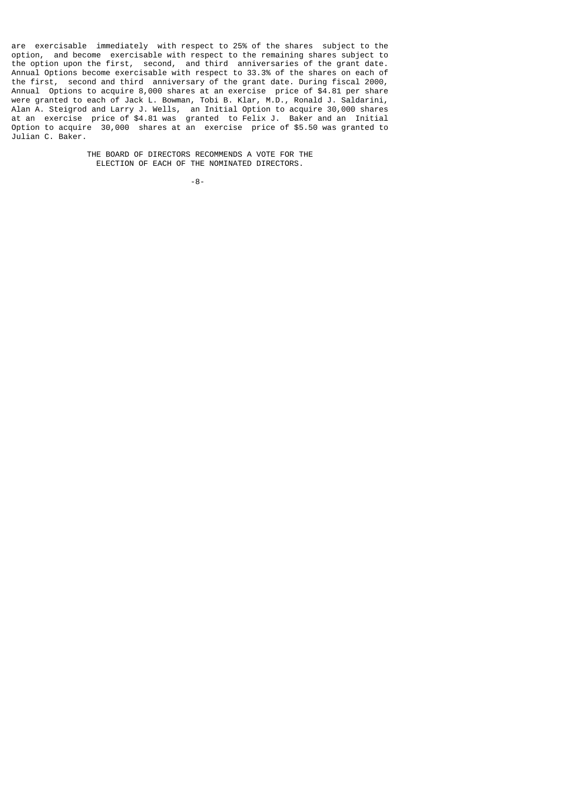are exercisable immediately with respect to 25% of the shares subject to the option, and become exercisable with respect to the remaining shares subject to the option upon the first, second, and third anniversaries of the grant date. Annual Options become exercisable with respect to 33.3% of the shares on each of the first, second and third anniversary of the grant date. During fiscal 2000, Annual Options to acquire 8,000 shares at an exercise price of \$4.81 per share were granted to each of Jack L. Bowman, Tobi B. Klar, M.D., Ronald J. Saldarini, Alan A. Steigrod and Larry J. Wells, an Initial Option to acquire 30,000 shares at an exercise price of \$4.81 was granted to Felix J. Baker and an Initial Option to acquire 30,000 shares at an exercise price of \$5.50 was granted to Julian C. Baker.

> THE BOARD OF DIRECTORS RECOMMENDS A VOTE FOR THE ELECTION OF EACH OF THE NOMINATED DIRECTORS.

-8-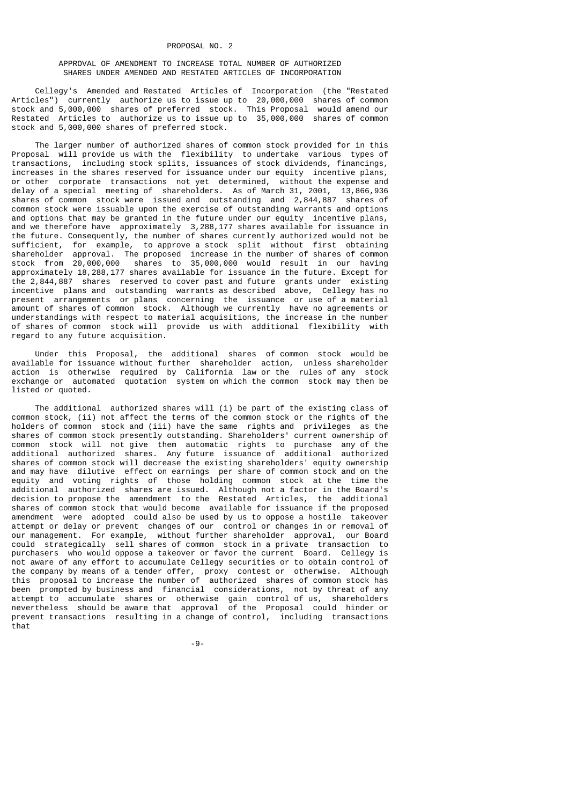### APPROVAL OF AMENDMENT TO INCREASE TOTAL NUMBER OF AUTHORIZED SHARES UNDER AMENDED AND RESTATED ARTICLES OF INCORPORATION

 Cellegy's Amended and Restated Articles of Incorporation (the "Restated Articles") currently authorize us to issue up to 20,000,000 shares of common stock and 5,000,000 shares of preferred stock. This Proposal would amend our Restated Articles to authorize us to issue up to 35,000,000 shares of common stock and 5,000,000 shares of preferred stock.

 The larger number of authorized shares of common stock provided for in this Proposal will provide us with the flexibility to undertake various types of transactions, including stock splits, issuances of stock dividends, financings, increases in the shares reserved for issuance under our equity incentive plans, or other corporate transactions not yet determined, without the expense and delay of a special meeting of shareholders. As of March 31, 2001, 13,866,936 shares of common stock were issued and outstanding and 2,844,887 shares of common stock were issuable upon the exercise of outstanding warrants and options and options that may be granted in the future under our equity incentive plans, and we therefore have approximately 3,288,177 shares available for issuance in the future. Consequently, the number of shares currently authorized would not be sufficient, for example, to approve a stock split without first obtaining shareholder approval. The proposed increase in the number of shares of common stock from 20,000,000 shares to 35,000,000 would result in our having approximately 18,288,177 shares available for issuance in the future. Except for the 2,844,887 shares reserved to cover past and future grants under existing incentive plans and outstanding warrants as described above, Cellegy has no present arrangements or plans concerning the issuance or use of a material amount of shares of common stock. Although we currently have no agreements or understandings with respect to material acquisitions, the increase in the number of shares of common stock will provide us with additional flexibility with regard to any future acquisition.

 Under this Proposal, the additional shares of common stock would be available for issuance without further shareholder action, unless shareholder action is otherwise required by California law or the rules of any stock exchange or automated quotation system on which the common stock may then be listed or quoted.

 The additional authorized shares will (i) be part of the existing class of common stock, (ii) not affect the terms of the common stock or the rights of the holders of common stock and (iii) have the same rights and privileges as the shares of common stock presently outstanding. Shareholders' current ownership of common stock will not give them automatic rights to purchase any of the additional authorized shares. Any future issuance of additional authorized shares of common stock will decrease the existing shareholders' equity ownership and may have dilutive effect on earnings per share of common stock and on the equity and voting rights of those holding common stock at the time the additional authorized shares are issued. Although not a factor in the Board's decision to propose the amendment to the Restated Articles, the additional shares of common stock that would become available for issuance if the proposed amendment were adopted could also be used by us to oppose a hostile takeover attempt or delay or prevent changes of our control or changes in or removal of our management. For example, without further shareholder approval, our Board could strategically sell shares of common stock in a private transaction to purchasers who would oppose a takeover or favor the current Board. Cellegy is not aware of any effort to accumulate Cellegy securities or to obtain control of the company by means of a tender offer, proxy contest or otherwise. Although this proposal to increase the number of authorized shares of common stock has been prompted by business and financial considerations, not by threat of any attempt to accumulate shares or otherwise gain control of us, shareholders nevertheless should be aware that approval of the Proposal could hinder or prevent transactions resulting in a change of control, including transactions that

-9-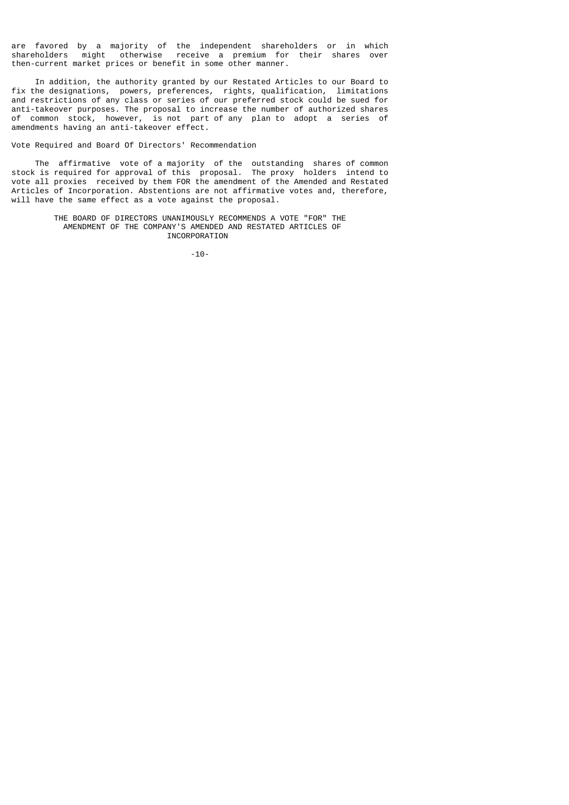are favored by a majority of the independent shareholders or in which shareholders might otherwise receive a premium for their shares over then-current market prices or benefit in some other manner.

 In addition, the authority granted by our Restated Articles to our Board to fix the designations, powers, preferences, rights, qualification, limitations and restrictions of any class or series of our preferred stock could be sued for anti-takeover purposes. The proposal to increase the number of authorized shares of common stock, however, is not part of any plan to adopt a series of amendments having an anti-takeover effect.

## Vote Required and Board Of Directors' Recommendation

 The affirmative vote of a majority of the outstanding shares of common stock is required for approval of this proposal. The proxy holders intend to vote all proxies received by them FOR the amendment of the Amended and Restated Articles of Incorporation. Abstentions are not affirmative votes and, therefore, will have the same effect as a vote against the proposal.

> THE BOARD OF DIRECTORS UNANIMOUSLY RECOMMENDS A VOTE "FOR" THE AMENDMENT OF THE COMPANY'S AMENDED AND RESTATED ARTICLES OF INCORPORATION

-10-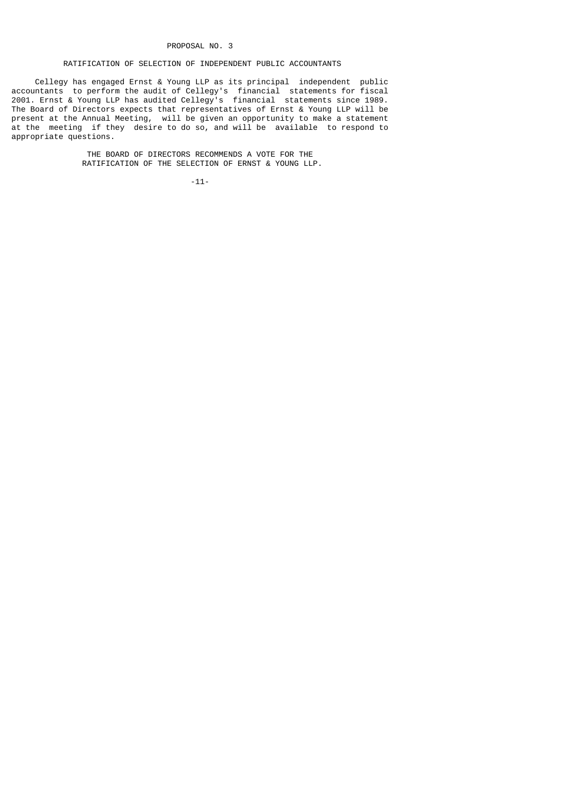#### PROPOSAL NO. 3

## RATIFICATION OF SELECTION OF INDEPENDENT PUBLIC ACCOUNTANTS

 Cellegy has engaged Ernst & Young LLP as its principal independent public accountants to perform the audit of Cellegy's financial statements for fiscal 2001. Ernst & Young LLP has audited Cellegy's financial statements since 1989. The Board of Directors expects that representatives of Ernst & Young LLP will be present at the Annual Meeting, will be given an opportunity to make a statement at the meeting if they desire to do so, and will be available to respond to appropriate questions.

> THE BOARD OF DIRECTORS RECOMMENDS A VOTE FOR THE RATIFICATION OF THE SELECTION OF ERNST & YOUNG LLP.

> > -11-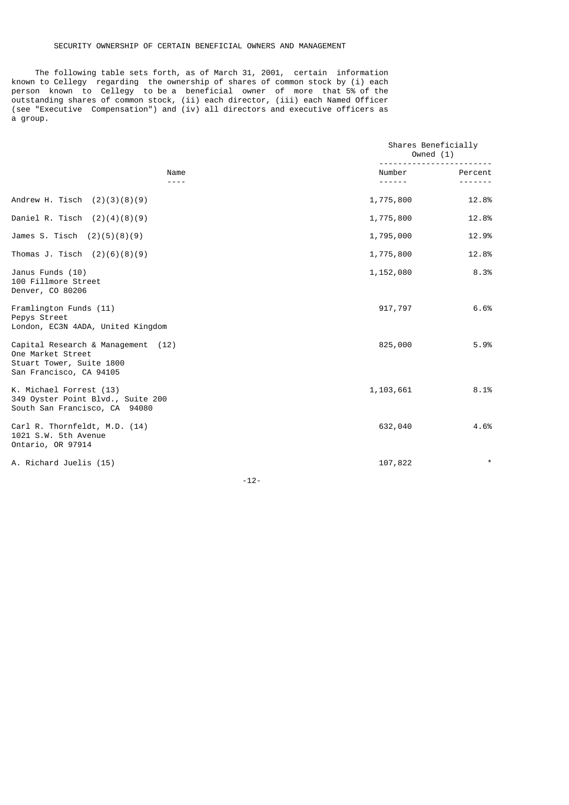## SECURITY OWNERSHIP OF CERTAIN BENEFICIAL OWNERS AND MANAGEMENT

 The following table sets forth, as of March 31, 2001, certain information known to Cellegy regarding the ownership of shares of common stock by (i) each person known to Cellegy to be a beneficial owner of more that 5% of the outstanding shares of common stock, (ii) each director, (iii) each Named Officer (see "Executive Compensation") and (iv) all directors and executive officers as a group.

|                                                                                                                | Shares Beneficially<br>Owned $(1)$ |         |  |  |
|----------------------------------------------------------------------------------------------------------------|------------------------------------|---------|--|--|
| Name<br>----                                                                                                   | Number<br>------                   | Percent |  |  |
| Andrew H. Tisch $(2)(3)(8)(9)$                                                                                 | 1,775,800                          | 12.8%   |  |  |
| Daniel R. Tisch $(2)(4)(8)(9)$                                                                                 | 1,775,800                          | 12.8%   |  |  |
| James S. Tisch $(2)(5)(8)(9)$                                                                                  | 1,795,000                          | 12.9%   |  |  |
| Thomas J. Tisch $(2)(6)(8)(9)$                                                                                 | 1,775,800                          | 12.8%   |  |  |
| Janus Funds (10)<br>100 Fillmore Street<br>Denver, CO 80206                                                    | 1,152,080                          | 8.3%    |  |  |
| Framlington Funds (11)<br>Pepys Street<br>London, EC3N 4ADA, United Kingdom                                    | 917,797                            | 6.6%    |  |  |
| Capital Research & Management (12)<br>One Market Street<br>Stuart Tower, Suite 1800<br>San Francisco, CA 94105 | 825,000                            | 5.9%    |  |  |
| K. Michael Forrest (13)<br>349 Oyster Point Blvd., Suite 200<br>South San Francisco, CA 94080                  | 1,103,661                          | 8.1%    |  |  |
| Carl R. Thornfeldt, M.D. (14)<br>1021 S.W. 5th Avenue<br>Ontario, OR 97914                                     | 632,040                            | 4.6%    |  |  |
| A. Richard Juelis (15)                                                                                         | 107,822                            | $\star$ |  |  |

-12-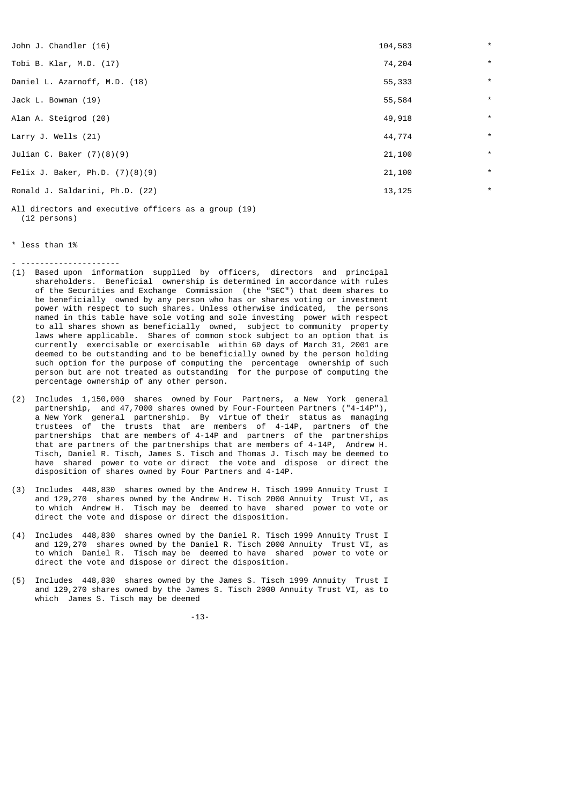| John J. Chandler (16)             | 104,583 | $\star$ |
|-----------------------------------|---------|---------|
| Tobi B. Klar, M.D. (17)           | 74,204  | $\star$ |
| Daniel L. Azarnoff, M.D. (18)     | 55,333  | $\star$ |
| Jack L. Bowman (19)               | 55,584  | $\star$ |
| Alan A. Steigrod (20)             | 49,918  | $\star$ |
| Larry J. Wells $(21)$             | 44,774  | $\star$ |
| Julian C. Baker $(7)(8)(9)$       | 21,100  | $\star$ |
| Felix J. Baker, Ph.D. $(7)(8)(9)$ | 21,100  | $\star$ |
| Ronald J. Saldarini, Ph.D. (22)   | 13,125  | $\star$ |
|                                   |         |         |

All directors and executive officers as a group (19) (12 persons)

\* less than 1%

- ---------------------

- (1) Based upon information supplied by officers, directors and principal shareholders. Beneficial ownership is determined in accordance with rules of the Securities and Exchange Commission (the "SEC") that deem shares to be beneficially owned by any person who has or shares voting or investment power with respect to such shares. Unless otherwise indicated, the persons named in this table have sole voting and sole investing power with respect to all shares shown as beneficially owned, subject to community property laws where applicable. Shares of common stock subject to an option that is currently exercisable or exercisable within 60 days of March 31, 2001 are deemed to be outstanding and to be beneficially owned by the person holding such option for the purpose of computing the percentage ownership of such person but are not treated as outstanding for the purpose of computing the percentage ownership of any other person.
- (2) Includes 1,150,000 shares owned by Four Partners, a New York general partnership, and 47,7000 shares owned by Four-Fourteen Partners ("4-14P"), a New York general partnership. By virtue of their status as managing trustees of the trusts that are members of 4-14P, partners of the partnerships that are members of 4-14P and partners of the partnerships that are partners of the partnerships that are members of 4-14P, Andrew H. Tisch, Daniel R. Tisch, James S. Tisch and Thomas J. Tisch may be deemed to have shared power to vote or direct the vote and dispose or direct the disposition of shares owned by Four Partners and 4-14P.
- (3) Includes 448,830 shares owned by the Andrew H. Tisch 1999 Annuity Trust I and 129,270 shares owned by the Andrew H. Tisch 2000 Annuity Trust VI, as to which Andrew H. Tisch may be deemed to have shared power to vote or direct the vote and dispose or direct the disposition.
- (4) Includes 448,830 shares owned by the Daniel R. Tisch 1999 Annuity Trust I and 129,270 shares owned by the Daniel R. Tisch 2000 Annuity Trust VI, as to which Daniel R. Tisch may be deemed to have shared power to vote or direct the vote and dispose or direct the disposition.
- (5) Includes 448,830 shares owned by the James S. Tisch 1999 Annuity Trust I and 129,270 shares owned by the James S. Tisch 2000 Annuity Trust VI, as to which James S. Tisch may be deemed

-13-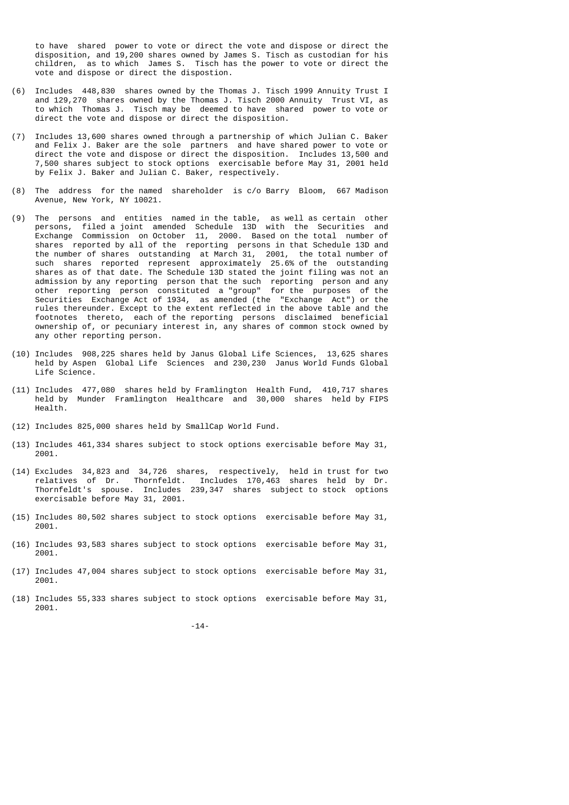to have shared power to vote or direct the vote and dispose or direct the disposition, and 19,200 shares owned by James S. Tisch as custodian for his children, as to which James S. Tisch has the power to vote or direct the vote and dispose or direct the dispostion.

- (6) Includes 448,830 shares owned by the Thomas J. Tisch 1999 Annuity Trust I and 129,270 shares owned by the Thomas J. Tisch 2000 Annuity Trust VI, as to which Thomas J. Tisch may be deemed to have shared power to vote or direct the vote and dispose or direct the disposition.
- (7) Includes 13,600 shares owned through a partnership of which Julian C. Baker and Felix J. Baker are the sole partners and have shared power to vote or direct the vote and dispose or direct the disposition. Includes 13,500 and 7,500 shares subject to stock options exercisable before May 31, 2001 held by Felix J. Baker and Julian C. Baker, respectively.
- (8) The address for the named shareholder is c/o Barry Bloom, 667 Madison Avenue, New York, NY 10021.
- (9) The persons and entities named in the table, as well as certain other persons, filed a joint amended Schedule 13D with the Securities and Exchange Commission on October 11, 2000. Based on the total number of shares reported by all of the reporting persons in that Schedule 13D and the number of shares outstanding at March 31, 2001, the total number of such shares reported represent approximately 25.6% of the outstanding shares as of that date. The Schedule 13D stated the joint filing was not an admission by any reporting person that the such reporting person and any other reporting person constituted a "group" for the purposes of the Securities Exchange Act of 1934, as amended (the "Exchange Act") or the rules thereunder. Except to the extent reflected in the above table and the footnotes thereto, each of the reporting persons disclaimed beneficial ownership of, or pecuniary interest in, any shares of common stock owned by any other reporting person.
- (10) Includes 908,225 shares held by Janus Global Life Sciences, 13,625 shares held by Aspen Global Life Sciences and 230,230 Janus World Funds Global Life Science.
- (11) Includes 477,080 shares held by Framlington Health Fund, 410,717 shares held by Munder Framlington Healthcare and 30,000 shares held by FIPS Health.
- (12) Includes 825,000 shares held by SmallCap World Fund.
- (13) Includes 461,334 shares subject to stock options exercisable before May 31, 2001.
- (14) Excludes 34,823 and 34,726 shares, respectively, held in trust for two relatives of Dr. Thornfeldt. Includes 170,463 shares held by Dr. Thornfeldt's spouse. Includes 239,347 shares subject to stock options exercisable before May 31, 2001.
- (15) Includes 80,502 shares subject to stock options exercisable before May 31, 2001.
- (16) Includes 93,583 shares subject to stock options exercisable before May 31, 2001.
- (17) Includes 47,004 shares subject to stock options exercisable before May 31, 2001.
- (18) Includes 55,333 shares subject to stock options exercisable before May 31, 2001.

-14-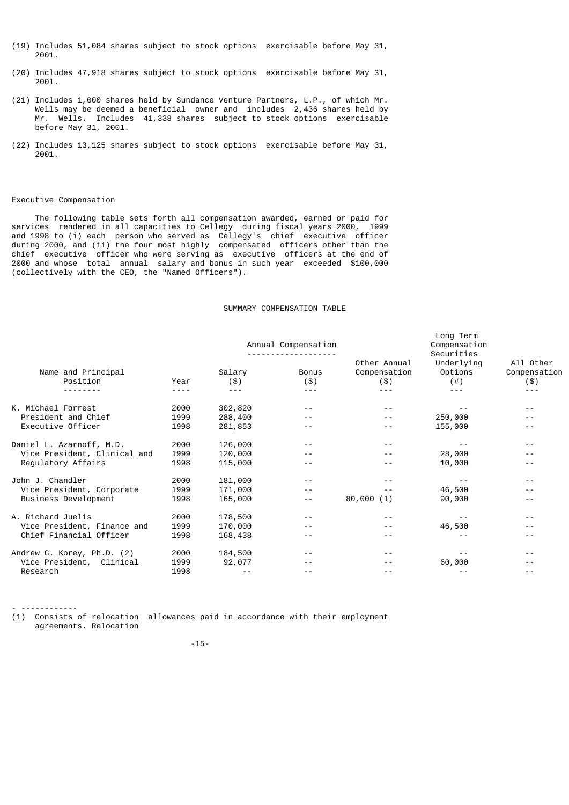- (19) Includes 51,084 shares subject to stock options exercisable before May 31, 2001.
- (20) Includes 47,918 shares subject to stock options exercisable before May 31, 2001.
- (21) Includes 1,000 shares held by Sundance Venture Partners, L.P., of which Mr. Wells may be deemed a beneficial owner and includes 2,436 shares held by Mr. Wells. Includes 41,338 shares subject to stock options exercisable before May 31, 2001.
- (22) Includes 13,125 shares subject to stock options exercisable before May 31, 2001.

# Executive Compensation

- ------------

 The following table sets forth all compensation awarded, earned or paid for services rendered in all capacities to Cellegy during fiscal years 2000, 1999 and 1998 to (i) each person who served as Cellegy's chief executive officer during 2000, and (ii) the four most highly compensated officers other than the chief executive officer who were serving as executive officers at the end of 2000 and whose total annual salary and bonus in such year exceeded \$100,000 (collectively with the CEO, the "Named Officers").

## SUMMARY COMPENSATION TABLE

|                                | Annual Compensation |               |                     |                                     | Long Term<br>Compensation<br>Securities |                                  |  |
|--------------------------------|---------------------|---------------|---------------------|-------------------------------------|-----------------------------------------|----------------------------------|--|
| Name and Principal<br>Position | Year                | Salary<br>(3) | <b>Bonus</b><br>(3) | Other Annual<br>Compensation<br>(3) | Underlying<br>Options<br>(  # )         | All Other<br>Compensation<br>(3) |  |
|                                | ----                | $\frac{1}{2}$ | ---                 |                                     | $- - -$                                 |                                  |  |
| K. Michael Forrest             | 2000                | 302,820       |                     |                                     |                                         |                                  |  |
| President and Chief            | 1999                | 288,400       | - -                 |                                     | 250,000                                 |                                  |  |
| Executive Officer              | 1998                | 281,853       | - -                 | - -                                 | 155,000                                 |                                  |  |
| Daniel L. Azarnoff, M.D.       | 2000                | 126,000       |                     |                                     |                                         |                                  |  |
| Vice President, Clinical and   | 1999                | 120,000       |                     |                                     | 28,000                                  |                                  |  |
| Regulatory Affairs             | 1998                | 115,000       |                     |                                     | 10,000                                  |                                  |  |
| John J. Chandler               | 2000                | 181,000       |                     |                                     |                                         |                                  |  |
| Vice President, Corporate      | 1999                | 171,000       | - -                 |                                     | 46,500                                  |                                  |  |
| Business Development           | 1998                | 165,000       | $- -$               | 80,000(1)                           | 90,000                                  |                                  |  |
| A. Richard Juelis              | 2000                | 178,500       | $ -$                |                                     |                                         |                                  |  |
| Vice President, Finance and    | 1999                | 170,000       |                     |                                     | 46,500                                  |                                  |  |
| Chief Financial Officer        | 1998                | 168,438       |                     |                                     |                                         |                                  |  |
| Andrew G. Korey, Ph.D. (2)     | 2000                | 184,500       |                     |                                     |                                         |                                  |  |
| Vice President,<br>Clinical    | 1999                | 92,077        |                     |                                     | 60,000                                  |                                  |  |
| Research                       | 1998                |               |                     |                                     |                                         |                                  |  |

(1) Consists of relocation allowances paid in accordance with their employment agreements. Relocation

-15-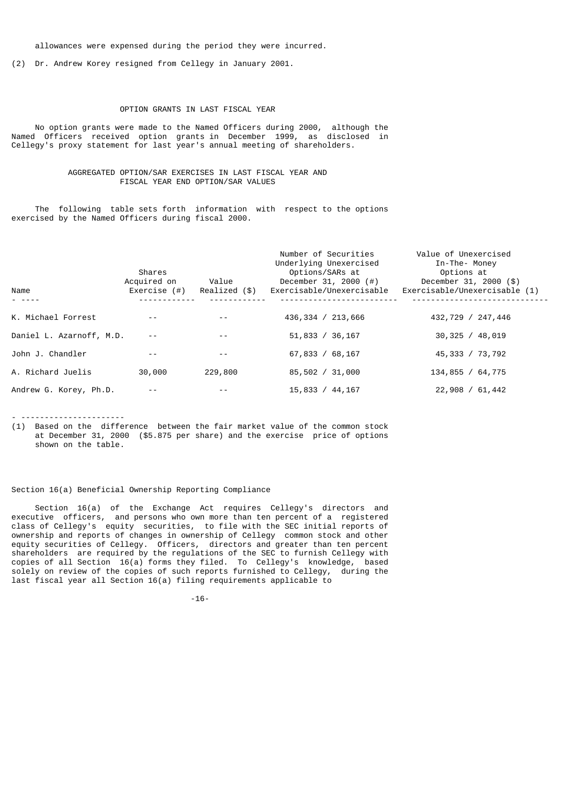allowances were expensed during the period they were incurred.

(2) Dr. Andrew Korey resigned from Cellegy in January 2001.

## OPTION GRANTS IN LAST FISCAL YEAR

 No option grants were made to the Named Officers during 2000, although the Named Officers received option grants in December 1999, as disclosed in Cellegy's proxy statement for last year's annual meeting of shareholders.

## AGGREGATED OPTION/SAR EXERCISES IN LAST FISCAL YEAR AND FISCAL YEAR END OPTION/SAR VALUES

 The following table sets forth information with respect to the options exercised by the Named Officers during fiscal 2000.

| Name                     | Shares<br>Acquired on<br>Exercise (#) | Value<br>Realized (\$) | Number of Securities<br>Underlying Unexercised<br>Options/SARs at<br>December 31, 2000 $(\#)$<br>Exercisable/Unexercisable | Value of Unexercised<br>In-The- Money<br>Options at<br>December 31, 2000 (\$)<br>Exercisable/Unexercisable (1) |
|--------------------------|---------------------------------------|------------------------|----------------------------------------------------------------------------------------------------------------------------|----------------------------------------------------------------------------------------------------------------|
| K. Michael Forrest       |                                       |                        | 436, 334 / 213, 666                                                                                                        | 432,729 / 247,446                                                                                              |
| Daniel L. Azarnoff, M.D. |                                       | $ -$                   | 51,833 / 36,167                                                                                                            | 30,325 / 48,019                                                                                                |
| John J. Chandler         |                                       |                        | 67,833 / 68,167                                                                                                            | 45,333 / 73,792                                                                                                |
| A. Richard Juelis        | 30,000                                | 229,800                | 85,502 / 31,000                                                                                                            | 134,855 / 64,775                                                                                               |
| Andrew G. Korey, Ph.D.   |                                       |                        | 15,833 / 44,167                                                                                                            | 22,908 / 61,442                                                                                                |

- ----------------------

(1) Based on the difference between the fair market value of the common stock at December 31, 2000 (\$5.875 per share) and the exercise price of options shown on the table.

## Section 16(a) Beneficial Ownership Reporting Compliance

 Section 16(a) of the Exchange Act requires Cellegy's directors and executive officers, and persons who own more than ten percent of a registered class of Cellegy's equity securities, to file with the SEC initial reports of ownership and reports of changes in ownership of Cellegy common stock and other equity securities of Cellegy. Officers, directors and greater than ten percent shareholders are required by the regulations of the SEC to furnish Cellegy with copies of all Section 16(a) forms they filed. To Cellegy's knowledge, based solely on review of the copies of such reports furnished to Cellegy, during the last fiscal year all Section 16(a) filing requirements applicable to

-16-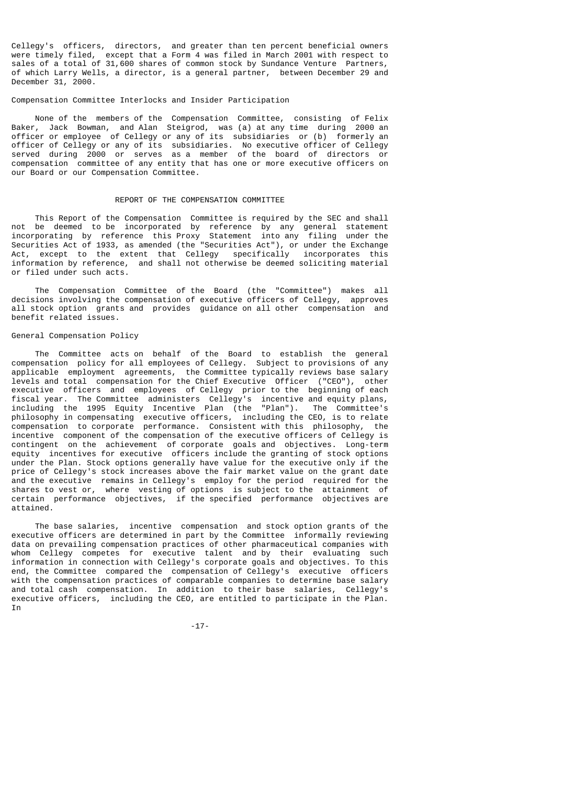Cellegy's officers, directors, and greater than ten percent beneficial owners were timely filed, except that a Form 4 was filed in March 2001 with respect to sales of a total of 31,600 shares of common stock by Sundance Venture Partners, of which Larry Wells, a director, is a general partner, between December 29 and December 31, 2000.

## Compensation Committee Interlocks and Insider Participation

 None of the members of the Compensation Committee, consisting of Felix Baker, Jack Bowman, and Alan Steigrod, was (a) at any time during 2000 an officer or employee of Cellegy or any of its subsidiaries or (b) formerly an officer of Cellegy or any of its subsidiaries. No executive officer of Cellegy served during 2000 or serves as a member of the board of directors or compensation committee of any entity that has one or more executive officers on our Board or our Compensation Committee.

## REPORT OF THE COMPENSATION COMMITTEE

 This Report of the Compensation Committee is required by the SEC and shall not be deemed to be incorporated by reference by any general statement incorporating by reference this Proxy Statement into any filing under the Securities Act of 1933, as amended (the "Securities Act"), or under the Exchange Act, except to the extent that Cellegy specifically incorporates this information by reference, and shall not otherwise be deemed soliciting material or filed under such acts.

 The Compensation Committee of the Board (the "Committee") makes all decisions involving the compensation of executive officers of Cellegy, approves all stock option grants and provides guidance on all other compensation and benefit related issues.

### General Compensation Policy

 The Committee acts on behalf of the Board to establish the general compensation policy for all employees of Cellegy. Subject to provisions of any applicable employment agreements, the Committee typically reviews base salary levels and total compensation for the Chief Executive Officer ("CEO"), other executive officers and employees of Cellegy prior to the beginning of each fiscal year. The Committee administers Cellegy's incentive and equity plans, including the 1995 Equity Incentive Plan (the "Plan"). The Committee's philosophy in compensating executive officers, including the CEO, is to relate compensation to corporate performance. Consistent with this philosophy, the incentive component of the compensation of the executive officers of Cellegy is contingent on the achievement of corporate goals and objectives. Long-term equity incentives for executive officers include the granting of stock options under the Plan. Stock options generally have value for the executive only if the price of Cellegy's stock increases above the fair market value on the grant date and the executive remains in Cellegy's employ for the period required for the shares to vest or, where vesting of options is subject to the attainment of certain performance objectives, if the specified performance objectives are attained.

 The base salaries, incentive compensation and stock option grants of the executive officers are determined in part by the Committee informally reviewing data on prevailing compensation practices of other pharmaceutical companies with whom Cellegy competes for executive talent and by their evaluating such information in connection with Cellegy's corporate goals and objectives. To this end, the Committee compared the compensation of Cellegy's executive officers with the compensation practices of comparable companies to determine base salary and total cash compensation. In addition to their base salaries, Cellegy's executive officers, including the CEO, are entitled to participate in the Plan. **Tn** 

-17-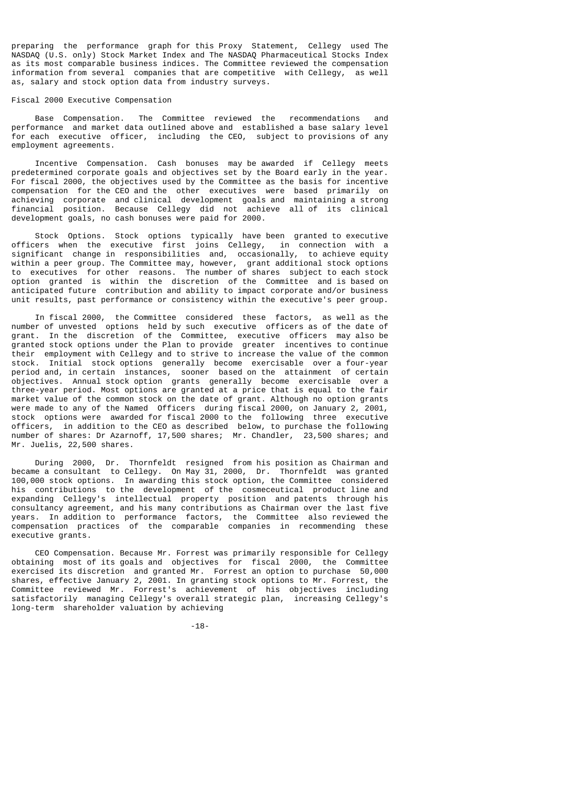preparing the performance graph for this Proxy Statement, Cellegy used The NASDAQ (U.S. only) Stock Market Index and The NASDAQ Pharmaceutical Stocks Index as its most comparable business indices. The Committee reviewed the compensation information from several companies that are competitive with Cellegy, as well as, salary and stock option data from industry surveys.

## Fiscal 2000 Executive Compensation

 Base Compensation. The Committee reviewed the recommendations and performance and market data outlined above and established a base salary level for each executive officer, including the CEO, subject to provisions of any employment agreements.

 Incentive Compensation. Cash bonuses may be awarded if Cellegy meets predetermined corporate goals and objectives set by the Board early in the year. For fiscal 2000, the objectives used by the Committee as the basis for incentive compensation for the CEO and the other executives were based primarily on achieving corporate and clinical development goals and maintaining a strong financial position. Because Cellegy did not achieve all of its clinical development goals, no cash bonuses were paid for 2000.

 Stock Options. Stock options typically have been granted to executive officers when the executive first joins Cellegy, in connection with a significant change in responsibilities and, occasionally, to achieve equity within a peer group. The Committee may, however, grant additional stock options to executives for other reasons. The number of shares subject to each stock option granted is within the discretion of the Committee and is based on anticipated future contribution and ability to impact corporate and/or business unit results, past performance or consistency within the executive's peer group.

 In fiscal 2000, the Committee considered these factors, as well as the number of unvested options held by such executive officers as of the date of grant. In the discretion of the Committee, executive officers may also be granted stock options under the Plan to provide greater incentives to continue their employment with Cellegy and to strive to increase the value of the common stock. Initial stock options generally become exercisable over a four-year period and, in certain instances, sooner based on the attainment of certain objectives. Annual stock option grants generally become exercisable over a three-year period. Most options are granted at a price that is equal to the fair market value of the common stock on the date of grant. Although no option grants were made to any of the Named Officers during fiscal 2000, on January 2, 2001, stock options were awarded for fiscal 2000 to the following three executive officers, in addition to the CEO as described below, to purchase the following number of shares: Dr Azarnoff, 17,500 shares; Mr. Chandler, 23,500 shares; and Mr. Juelis, 22,500 shares.

 During 2000, Dr. Thornfeldt resigned from his position as Chairman and became a consultant to Cellegy. On May 31, 2000, Dr. Thornfeldt was granted 100,000 stock options. In awarding this stock option, the Committee considered his contributions to the development of the cosmeceutical product line and expanding Cellegy's intellectual property position and patents through his consultancy agreement, and his many contributions as Chairman over the last five years. In addition to performance factors, the Committee also reviewed the compensation practices of the comparable companies in recommending these executive grants.

 CEO Compensation. Because Mr. Forrest was primarily responsible for Cellegy obtaining most of its goals and objectives for fiscal 2000, the Committee exercised its discretion and granted Mr. Forrest an option to purchase 50,000 shares, effective January 2, 2001. In granting stock options to Mr. Forrest, the Committee reviewed Mr. Forrest's achievement of his objectives including satisfactorily managing Cellegy's overall strategic plan, increasing Cellegy's long-term shareholder valuation by achieving

-18-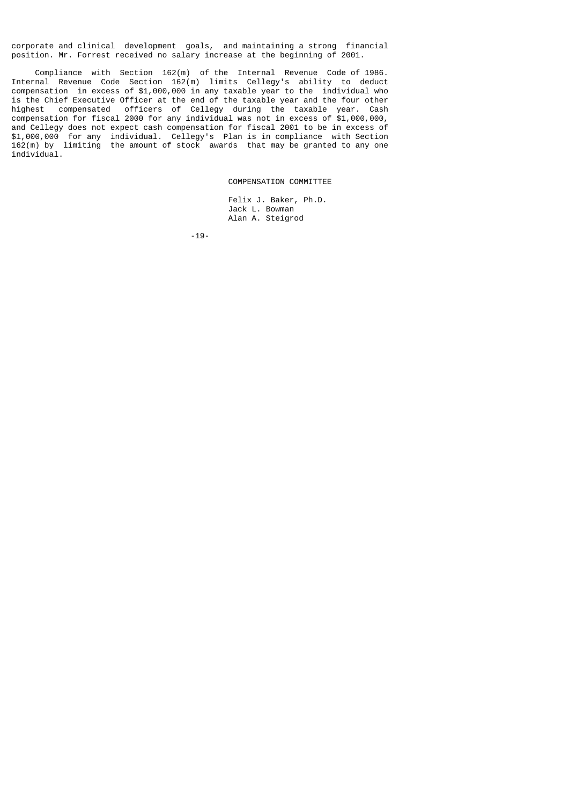corporate and clinical development goals, and maintaining a strong financial position. Mr. Forrest received no salary increase at the beginning of 2001.

 Compliance with Section 162(m) of the Internal Revenue Code of 1986. Internal Revenue Code Section 162(m) limits Cellegy's ability to deduct compensation in excess of \$1,000,000 in any taxable year to the individual who is the Chief Executive Officer at the end of the taxable year and the four other highest compensated officers of Cellegy during the taxable year. Cash compensation for fiscal 2000 for any individual was not in excess of \$1,000,000, and Cellegy does not expect cash compensation for fiscal 2001 to be in excess of \$1,000,000 for any individual. Cellegy's Plan is in compliance with Section 162(m) by limiting the amount of stock awards that may be granted to any one individual.

COMPENSATION COMMITTEE

 Felix J. Baker, Ph.D. Jack L. Bowman Alan A. Steigrod

-19-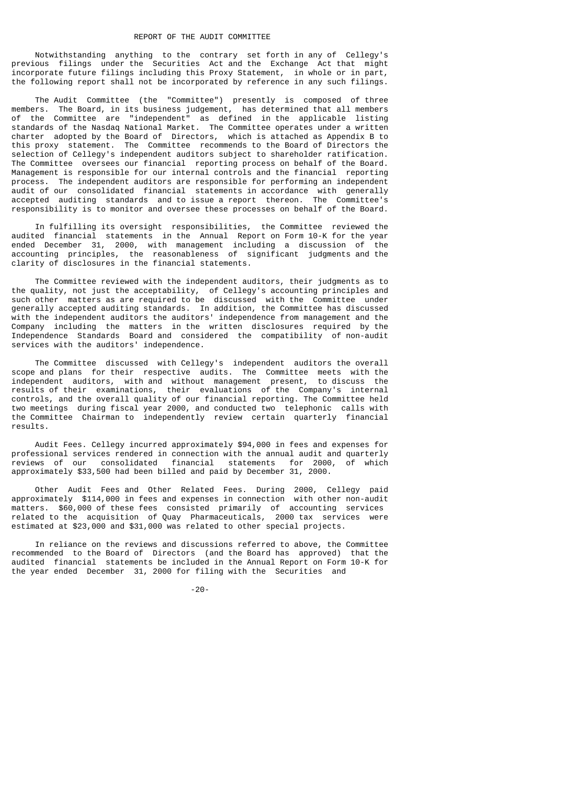Notwithstanding anything to the contrary set forth in any of Cellegy's previous filings under the Securities Act and the Exchange Act that might incorporate future filings including this Proxy Statement, in whole or in part, the following report shall not be incorporated by reference in any such filings.

 The Audit Committee (the "Committee") presently is composed of three members. The Board, in its business judgement, has determined that all members of the Committee are "independent" as defined in the applicable listing standards of the Nasdaq National Market. The Committee operates under a written charter adopted by the Board of Directors, which is attached as Appendix B to this proxy statement. The Committee recommends to the Board of Directors the selection of Cellegy's independent auditors subject to shareholder ratification. The Committee oversees our financial reporting process on behalf of the Board. Management is responsible for our internal controls and the financial reporting process. The independent auditors are responsible for performing an independent audit of our consolidated financial statements in accordance with generally accepted auditing standards and to issue a report thereon. The Committee's responsibility is to monitor and oversee these processes on behalf of the Board.

 In fulfilling its oversight responsibilities, the Committee reviewed the audited financial statements in the Annual Report on Form 10-K for the year ended December 31, 2000, with management including a discussion of the accounting principles, the reasonableness of significant judgments and the clarity of disclosures in the financial statements.

 The Committee reviewed with the independent auditors, their judgments as to the quality, not just the acceptability, of Cellegy's accounting principles and such other matters as are required to be discussed with the Committee under generally accepted auditing standards. In addition, the Committee has discussed with the independent auditors the auditors' independence from management and the Company including the matters in the written disclosures required by the Independence Standards Board and considered the compatibility of non-audit services with the auditors' independence.

 The Committee discussed with Cellegy's independent auditors the overall scope and plans for their respective audits. The Committee meets with the independent auditors, with and without management present, to discuss the results of their examinations, their evaluations of the Company's internal controls, and the overall quality of our financial reporting. The Committee held two meetings during fiscal year 2000, and conducted two telephonic calls with the Committee Chairman to independently review certain quarterly financial results.

 Audit Fees. Cellegy incurred approximately \$94,000 in fees and expenses for professional services rendered in connection with the annual audit and quarterly reviews of our consolidated financial statements for 2000, of which approximately \$33,500 had been billed and paid by December 31, 2000.

 Other Audit Fees and Other Related Fees. During 2000, Cellegy paid approximately \$114,000 in fees and expenses in connection with other non-audit matters. \$60,000 of these fees consisted primarily of accounting services related to the acquisition of Quay Pharmaceuticals, 2000 tax services were estimated at \$23,000 and \$31,000 was related to other special projects.

 In reliance on the reviews and discussions referred to above, the Committee recommended to the Board of Directors (and the Board has approved) that the audited financial statements be included in the Annual Report on Form 10-K for the year ended December 31, 2000 for filing with the Securities and

-20-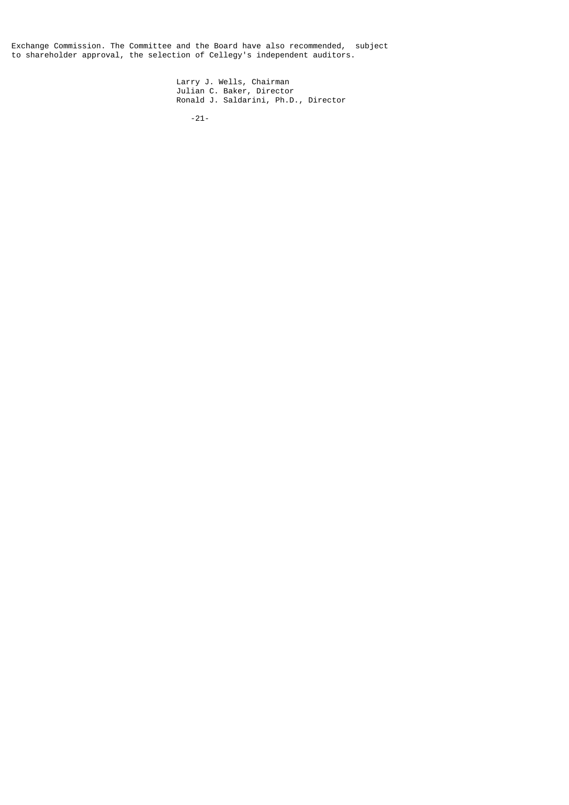Exchange Commission. The Committee and the Board have also recommended, subject to shareholder approval, the selection of Cellegy's independent auditors.

 Larry J. Wells, Chairman Julian C. Baker, Director Ronald J. Saldarini, Ph.D., Director

-21-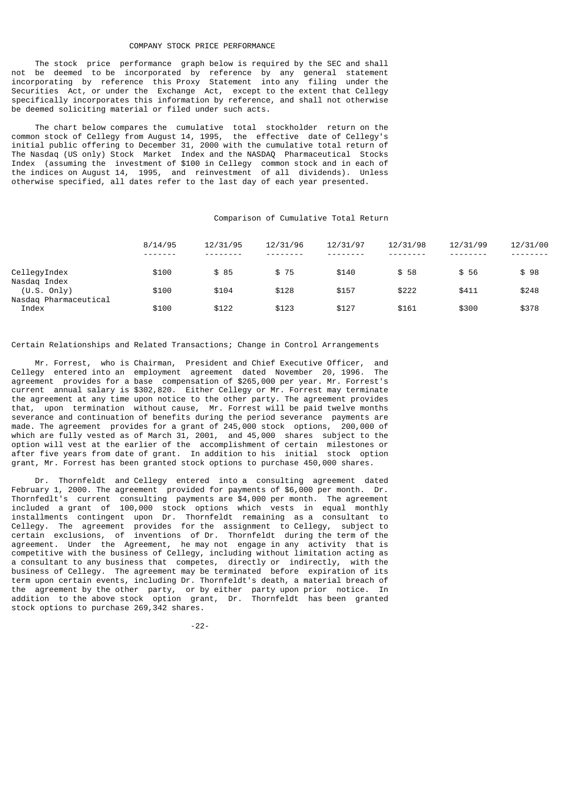#### COMPANY STOCK PRICE PERFORMANCE

 The stock price performance graph below is required by the SEC and shall not be deemed to be incorporated by reference by any general statement incorporating by reference this Proxy Statement into any filing under the Securities Act, or under the Exchange Act, except to the extent that Cellegy specifically incorporates this information by reference, and shall not otherwise be deemed soliciting material or filed under such acts.

 The chart below compares the cumulative total stockholder return on the common stock of Cellegy from August 14, 1995, the effective date of Cellegy's initial public offering to December 31, 2000 with the cumulative total return of The Nasdaq (US only) Stock Market Index and the NASDAQ Pharmaceutical Stocks Index (assuming the investment of \$100 in Cellegy common stock and in each of the indices on August 14, 1995, and reinvestment of all dividends). Unless otherwise specified, all dates refer to the last day of each year presented.

## Comparison of Cumulative Total Return

|                                | 8/14/95<br>------- | 12/31/95<br>-------- | 12/31/96<br>- - - - - - - - | 12/31/97 | 12/31/98<br>-------- | 12/31/99<br>- - - - - - - - | 12/31/00 |
|--------------------------------|--------------------|----------------------|-----------------------------|----------|----------------------|-----------------------------|----------|
| CellegyIndex                   | \$100              | \$85                 | \$75                        | \$140    | \$58                 | \$ 56                       | \$98     |
| Nasdag Index<br>(U.S. Only)    | \$100              | \$104                | \$128                       | \$157    | \$222                | \$411                       | \$248    |
| Nasdag Pharmaceutical<br>Index | \$100              | \$122                | \$123                       | \$127    | \$161                | \$300                       | \$378    |

#### Certain Relationships and Related Transactions; Change in Control Arrangements

 Mr. Forrest, who is Chairman, President and Chief Executive Officer, and Cellegy entered into an employment agreement dated November 20, 1996. The agreement provides for a base compensation of \$265,000 per year. Mr. Forrest's current annual salary is \$302,820. Either Cellegy or Mr. Forrest may terminate the agreement at any time upon notice to the other party. The agreement provides that, upon termination without cause, Mr. Forrest will be paid twelve months severance and continuation of benefits during the period severance payments are made. The agreement provides for a grant of 245,000 stock options, 200,000 of which are fully vested as of March 31, 2001, and 45,000 shares subject to the option will vest at the earlier of the accomplishment of certain milestones or after five years from date of grant. In addition to his initial stock option grant, Mr. Forrest has been granted stock options to purchase 450,000 shares.

 Dr. Thornfeldt and Cellegy entered into a consulting agreement dated February 1, 2000. The agreement provided for payments of  $$6,000$  per month. Dr. Thornfedlt's current consulting payments are \$4,000 per month. The agreement included a grant of 100,000 stock options which vests in equal monthly installments contingent upon Dr. Thornfeldt remaining as a consultant to Cellegy. The agreement provides for the assignment to Cellegy, subject to certain exclusions, of inventions of Dr. Thornfeldt during the term of the agreement. Under the Agreement, he may not engage in any activity that is competitive with the business of Cellegy, including without limitation acting as a consultant to any business that competes, directly or indirectly, with the business of Cellegy. The agreement may be terminated before expiration of its term upon certain events, including Dr. Thornfeldt's death, a material breach of the agreement by the other party, or by either party upon prior notice. In addition to the above stock option grant, Dr. Thornfeldt has been granted stock options to purchase 269,342 shares.

-22-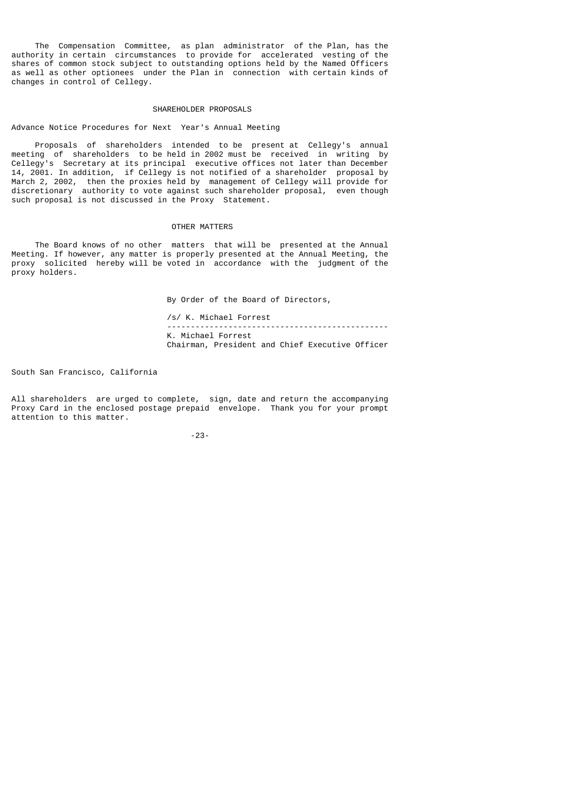The Compensation Committee, as plan administrator of the Plan, has the authority in certain circumstances to provide for accelerated vesting of the shares of common stock subject to outstanding options held by the Named Officers as well as other optionees under the Plan in connection with certain kinds of changes in control of Cellegy.

## SHAREHOLDER PROPOSALS

Advance Notice Procedures for Next Year's Annual Meeting

 Proposals of shareholders intended to be present at Cellegy's annual meeting of shareholders to be held in 2002 must be received in writing by Cellegy's Secretary at its principal executive offices not later than December 14, 2001. In addition, if Cellegy is not notified of a shareholder proposal by March 2, 2002, then the proxies held by management of Cellegy will provide for discretionary authority to vote against such shareholder proposal, even though such proposal is not discussed in the Proxy Statement.

# OTHER MATTERS

 The Board knows of no other matters that will be presented at the Annual Meeting. If however, any matter is properly presented at the Annual Meeting, the proxy solicited hereby will be voted in accordance with the judgment of the proxy holders.

By Order of the Board of Directors,

 /s/ K. Michael Forrest ----------------------------------------------- K. Michael Forrest Chairman, President and Chief Executive Officer

South San Francisco, California

All shareholders are urged to complete, sign, date and return the accompanying Proxy Card in the enclosed postage prepaid envelope. Thank you for your prompt attention to this matter.

-23-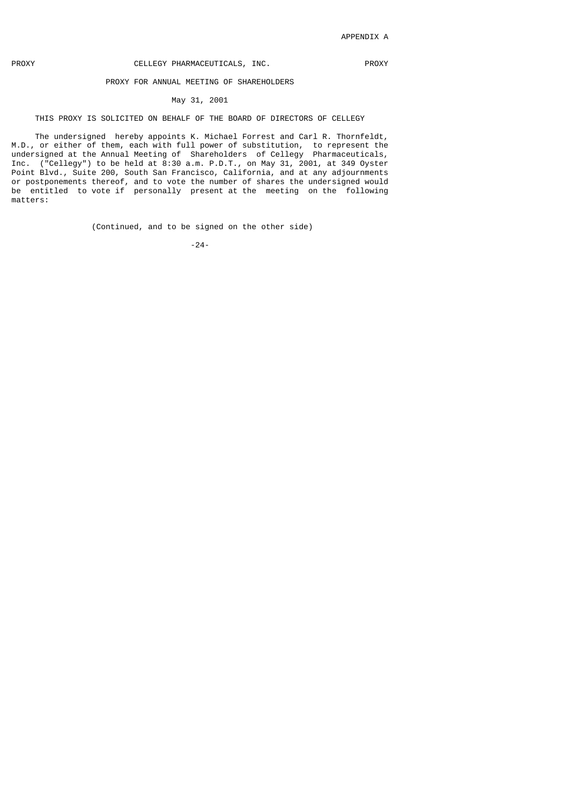# PROXY **CELLEGY PHARMACEUTICALS, INC.** PROXY

## PROXY FOR ANNUAL MEETING OF SHAREHOLDERS

# May 31, 2001

## THIS PROXY IS SOLICITED ON BEHALF OF THE BOARD OF DIRECTORS OF CELLEGY

 The undersigned hereby appoints K. Michael Forrest and Carl R. Thornfeldt, M.D., or either of them, each with full power of substitution, to represent the undersigned at the Annual Meeting of Shareholders of Cellegy Pharmaceuticals, Inc. ("Cellegy") to be held at 8:30 a.m. P.D.T., on May 31, 2001, at 349 Oyster Point Blvd., Suite 200, South San Francisco, California, and at any adjournments or postponements thereof, and to vote the number of shares the undersigned would be entitled to vote if personally present at the meeting on the following matters:

(Continued, and to be signed on the other side)

-24-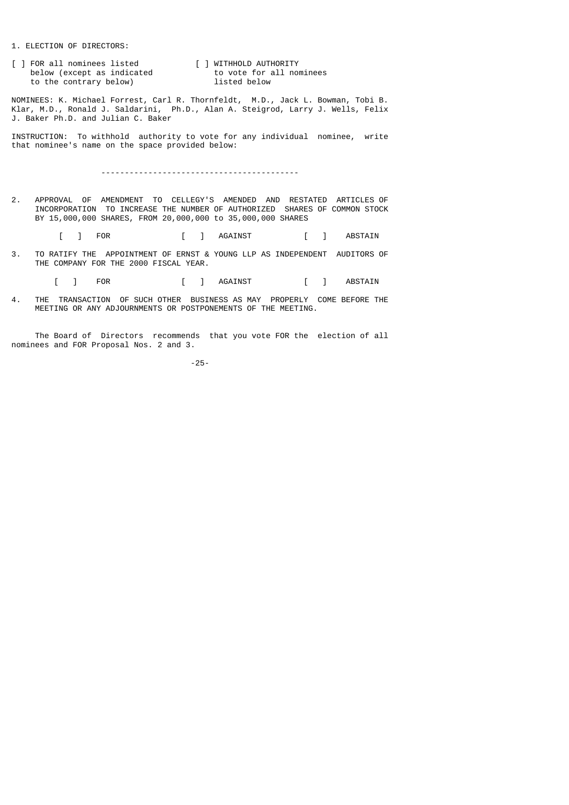### 1. ELECTION OF DIRECTORS:

[ ] FOR all nominees listed [ ] WITHHOLD AUTHORITY<br>below (except as indicated to vote for all nominees FOR ALL NOMINEES IISTED<br>below (except as indicated to vote for a<br>to the contrary below) listed below to the contrary below)

NOMINEES: K. Michael Forrest, Carl R. Thornfeldt, M.D., Jack L. Bowman, Tobi B. Klar, M.D., Ronald J. Saldarini, Ph.D., Alan A. Steigrod, Larry J. Wells, Felix J. Baker Ph.D. and Julian C. Baker

INSTRUCTION: To withhold authority to vote for any individual nominee, write that nominee's name on the space provided below:

------------------------------------------

2. APPROVAL OF AMENDMENT TO CELLEGY'S AMENDED AND RESTATED ARTICLES OF INCORPORATION TO INCREASE THE NUMBER OF AUTHORIZED SHARES OF COMMON STOCK BY 15,000,000 SHARES, FROM 20,000,000 to 35,000,000 SHARES

[ ] FOR [ ] AGAINST [ ] ABSTAIN

3. TO RATIFY THE APPOINTMENT OF ERNST & YOUNG LLP AS INDEPENDENT AUDITORS OF THE COMPANY FOR THE 2000 FISCAL YEAR.

[ ] FOR [ ] AGAINST [ ] ABSTAIN

4. THE TRANSACTION OF SUCH OTHER BUSINESS AS MAY PROPERLY COME BEFORE THE MEETING OR ANY ADJOURNMENTS OR POSTPONEMENTS OF THE MEETING.

 The Board of Directors recommends that you vote FOR the election of all nominees and FOR Proposal Nos. 2 and 3.

-25-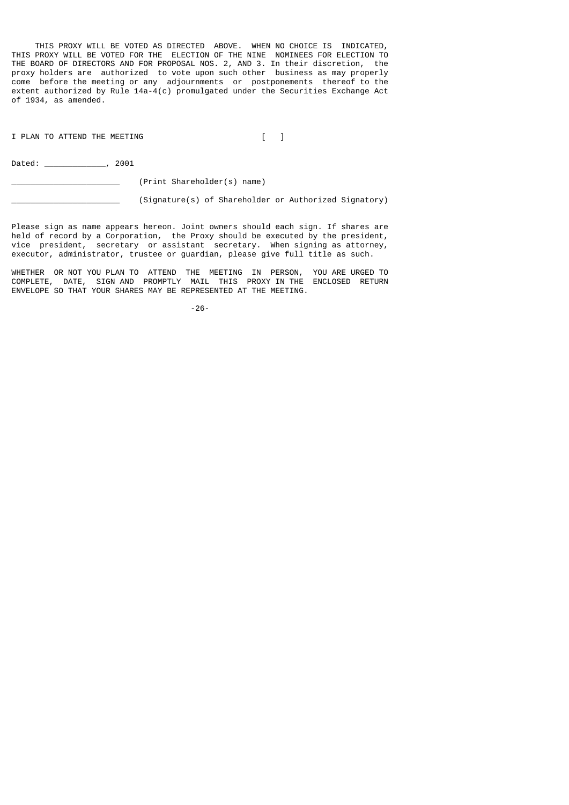THIS PROXY WILL BE VOTED AS DIRECTED ABOVE. WHEN NO CHOICE IS INDICATED, THIS PROXY WILL BE VOTED FOR THE ELECTION OF THE NINE NOMINEES FOR ELECTION TO THE BOARD OF DIRECTORS AND FOR PROPOSAL NOS. 2, AND 3. In their discretion, the proxy holders are authorized to vote upon such other business as may properly come before the meeting or any adjournments or postponements thereof to the extent authorized by Rule 14a-4(c) promulgated under the Securities Exchange Act of 1934, as amended.

I PLAN TO ATTEND THE MEETING [ ]

Dated:  $0.2001$ 

\_\_\_\_\_\_\_\_\_\_\_\_\_\_\_\_\_\_\_\_\_\_\_ (Print Shareholder(s) name)

(Signature(s) of Shareholder or Authorized Signatory)

Please sign as name appears hereon. Joint owners should each sign. If shares are held of record by a Corporation, the Proxy should be executed by the president, vice president, secretary or assistant secretary. When signing as attorney, executor, administrator, trustee or guardian, please give full title as such.

WHETHER OR NOT YOU PLAN TO ATTEND THE MEETING IN PERSON, YOU ARE URGED TO COMPLETE, DATE, SIGN AND PROMPTLY MAIL THIS PROXY IN THE ENCLOSED RETURN ENVELOPE SO THAT YOUR SHARES MAY BE REPRESENTED AT THE MEETING.

-26-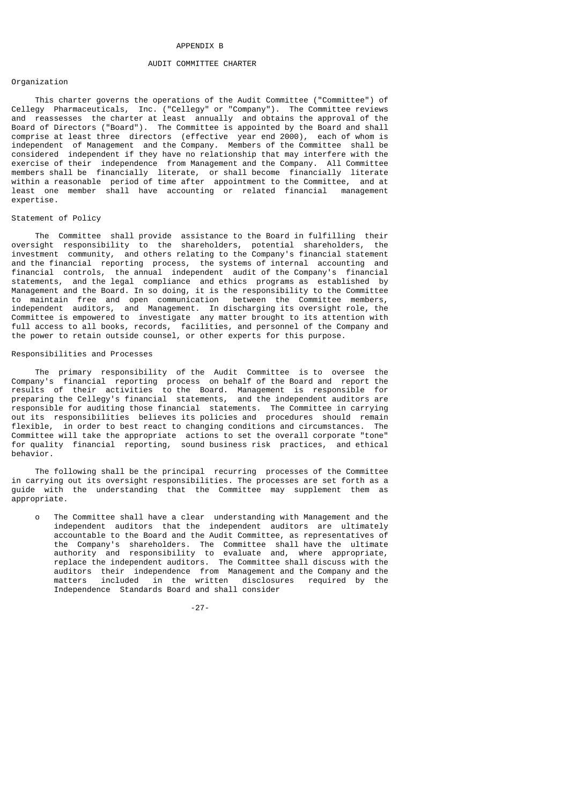#### APPENDIX B

#### AUDIT COMMITTEE CHARTER

## Organization

 This charter governs the operations of the Audit Committee ("Committee") of Cellegy Pharmaceuticals, Inc. ("Cellegy" or "Company"). The Committee reviews and reassesses the charter at least annually and obtains the approval of the Board of Directors ("Board"). The Committee is appointed by the Board and shall comprise at least three directors (effective year end 2000), each of whom is independent of Management and the Company. Members of the Committee shall be considered independent if they have no relationship that may interfere with the exercise of their independence from Management and the Company. All Committee members shall be financially literate, or shall become financially literate within a reasonable period of time after appointment to the Committee, and at least one member shall have accounting or related financial management expertise.

## Statement of Policy

 The Committee shall provide assistance to the Board in fulfilling their oversight responsibility to the shareholders, potential shareholders, the investment community, and others relating to the Company's financial statement and the financial reporting process, the systems of internal accounting and financial controls, the annual independent audit of the Company's financial statements, and the legal compliance and ethics programs as established by Management and the Board. In so doing, it is the responsibility to the Committee to maintain free and open communication between the Committee members, independent auditors, and Management. In discharging its oversight role, the Committee is empowered to investigate any matter brought to its attention with full access to all books, records, facilities, and personnel of the Company and the power to retain outside counsel, or other experts for this purpose.

#### Responsibilities and Processes

 The primary responsibility of the Audit Committee is to oversee the Company's financial reporting process on behalf of the Board and report the results of their activities to the Board. Management is responsible for preparing the Cellegy's financial statements, and the independent auditors are responsible for auditing those financial statements. The Committee in carrying out its responsibilities believes its policies and procedures should remain flexible, in order to best react to changing conditions and circumstances. The Committee will take the appropriate actions to set the overall corporate "tone" for quality financial reporting, sound business risk practices, and ethical behavior.

 The following shall be the principal recurring processes of the Committee in carrying out its oversight responsibilities. The processes are set forth as a guide with the understanding that the Committee may supplement them as appropriate.

 o The Committee shall have a clear understanding with Management and the independent auditors that the independent auditors are ultimately accountable to the Board and the Audit Committee, as representatives of the Company's shareholders. The Committee shall have the ultimate authority and responsibility to evaluate and, where appropriate, replace the independent auditors. The Committee shall discuss with the auditors their independence from Management and the Company and the matters included in the written disclosures required by the Independence Standards Board and shall consider

-27-